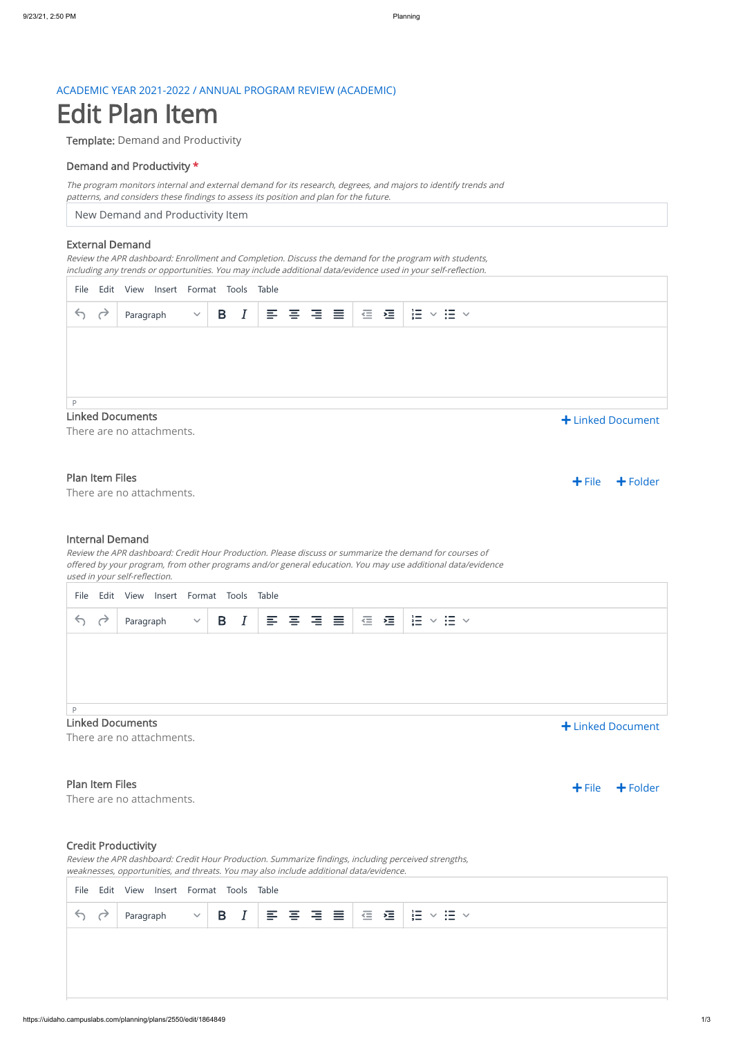## ACADEMIC YEAR 2021-2022 / ANNUAL PROGRAM REVIEW (ACADEMIC)

# Edit Plan Item

Template: Demand and Productivity

### Demand and Productivity \*

New Demand and Productivity Item

The program monitors internal and external demand for its research, degrees, and majors to identify trends and patterns, and considers these findings to assess its position and plan for the future.

#### External Demand

#### Linked Documents

There are no attachments.

#### Plan Item Files

There are no attachments.

Review the APR dashboard: Enrollment and Completion. Discuss the demand for the program with students, including any trends or opportunities. You may include additional data/evidence used in your self-reflection.

#### Internal Demand

There are no attachments.

#### Plan Item Files

 $\div$  File  $\div$  Folder

There are no attachments.

Review the APR dashboard: Credit Hour Production. Please discuss or summarize the demand for courses of offered by your program, from other programs and/or general education. You may use additional data/evidence used in your self-reflection.

| File |                                              | Edit View Insert Format Tools Table |  |  |  |  |  |                                                                      |  |                               |  |
|------|----------------------------------------------|-------------------------------------|--|--|--|--|--|----------------------------------------------------------------------|--|-------------------------------|--|
| 57   |                                              | Paragraph                           |  |  |  |  |  | $\vee \begin{array}{ccc} \circ & \circ \\ \circ & \circ \end{array}$ |  | $\frac{1}{3}$<br>$\Xi$ $\sim$ |  |
|      |                                              |                                     |  |  |  |  |  |                                                                      |  |                               |  |
|      |                                              |                                     |  |  |  |  |  |                                                                      |  |                               |  |
|      |                                              |                                     |  |  |  |  |  |                                                                      |  |                               |  |
| P    |                                              |                                     |  |  |  |  |  |                                                                      |  |                               |  |
|      | <b>Linked Documents</b><br>+ Linked Document |                                     |  |  |  |  |  |                                                                      |  |                               |  |

| File                               | Edit View Insert Format Tools Table |  |  |                                                                                   |  |               |             |                       |
|------------------------------------|-------------------------------------|--|--|-----------------------------------------------------------------------------------|--|---------------|-------------|-----------------------|
| $\rightarrow$<br>$\leftrightarrow$ | Paragraph                           |  |  | $\vee$   B $ I $   E $\equiv$ $\equiv$ $ $ $\equiv$ $ $ $\equiv$ $ $ $\equiv$ $ $ |  | $\frac{2}{3}$ | $:=$ $\vee$ |                       |
|                                    |                                     |  |  |                                                                                   |  |               |             |                       |
|                                    |                                     |  |  |                                                                                   |  |               |             |                       |
|                                    |                                     |  |  |                                                                                   |  |               |             |                       |
| P                                  |                                     |  |  |                                                                                   |  |               |             |                       |
| <b>Linked Documents</b>            |                                     |  |  |                                                                                   |  |               |             | $\pm$ Linked Document |

Linked Document

 $\div$  File  $\div$  Folder

## Credit Productivity

Review the APR dashboard: Credit Hour Production. Summarize findings, including perceived strengths, weaknesses, opportunities, and threats. You may also include additional data/evidence.

|                     | File Edit View Insert Format Tools Table |  |  |  |  |  |  |  |  |  |  |
|---------------------|------------------------------------------|--|--|--|--|--|--|--|--|--|--|
| $\leftrightarrow$ 4 |                                          |  |  |  |  |  |  |  |  |  |  |
|                     |                                          |  |  |  |  |  |  |  |  |  |  |
|                     |                                          |  |  |  |  |  |  |  |  |  |  |
|                     |                                          |  |  |  |  |  |  |  |  |  |  |